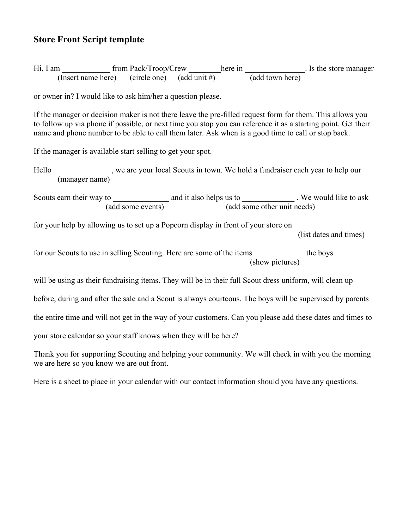## **Store Front Script template**

| Hi, I am | from Pack/Troop/Crew                         | here in         | . Is the store manager |
|----------|----------------------------------------------|-----------------|------------------------|
|          | (Insert name here) (circle one) (add unit #) | (add town here) |                        |

or owner in? I would like to ask him/her a question please.

If the manager or decision maker is not there leave the pre-filled request form for them. This allows you to follow up via phone if possible, or next time you stop you can reference it as a starting point. Get their name and phone number to be able to call them later. Ask when is a good time to call or stop back.

If the manager is available start selling to get your spot.

Hello \_\_\_\_\_\_\_\_\_\_\_\_\_, we are your local Scouts in town. We hold a fundraiser each year to help our (manager name)

Scouts earn their way to \_\_\_\_\_\_\_\_\_\_\_\_\_\_\_\_ and it also helps us to \_\_\_\_\_\_\_\_\_\_\_\_\_\_\_\_. We would like to ask (add some events) (add some other unit needs)

for your help by allowing us to set up a Popcorn display in front of your store on

(list dates and times)

for our Scouts to use in selling Scouting. Here are some of the items the boys (show pictures)

will be using as their fundraising items. They will be in their full Scout dress uniform, will clean up

before, during and after the sale and a Scout is always courteous. The boys will be supervised by parents

the entire time and will not get in the way of your customers. Can you please add these dates and times to

your store calendar so your staff knows when they will be here?

Thank you for supporting Scouting and helping your community. We will check in with you the morning we are here so you know we are out front.

Here is a sheet to place in your calendar with our contact information should you have any questions.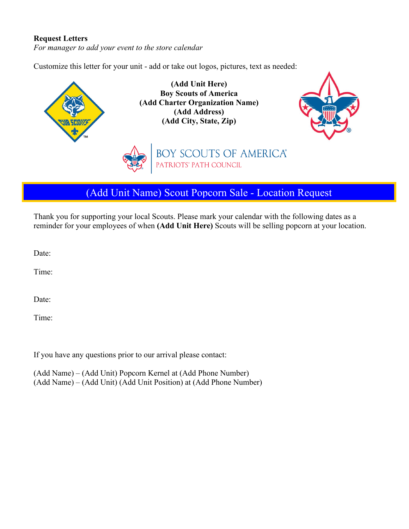## **Request Letters**

*For manager to add your event to the store calendar*

Customize this letter for your unit - add or take out logos, pictures, text as needed:



(Add Unit Name) Scout Popcorn Sale - Location Request

Thank you for supporting your local Scouts. Please mark your calendar with the following dates as a reminder for your employees of when **(Add Unit Here)** Scouts will be selling popcorn at your location.

Date:

Time:

Date:

Time:

If you have any questions prior to our arrival please contact:

(Add Name) – (Add Unit) Popcorn Kernel at (Add Phone Number) (Add Name) – (Add Unit) (Add Unit Position) at (Add Phone Number)